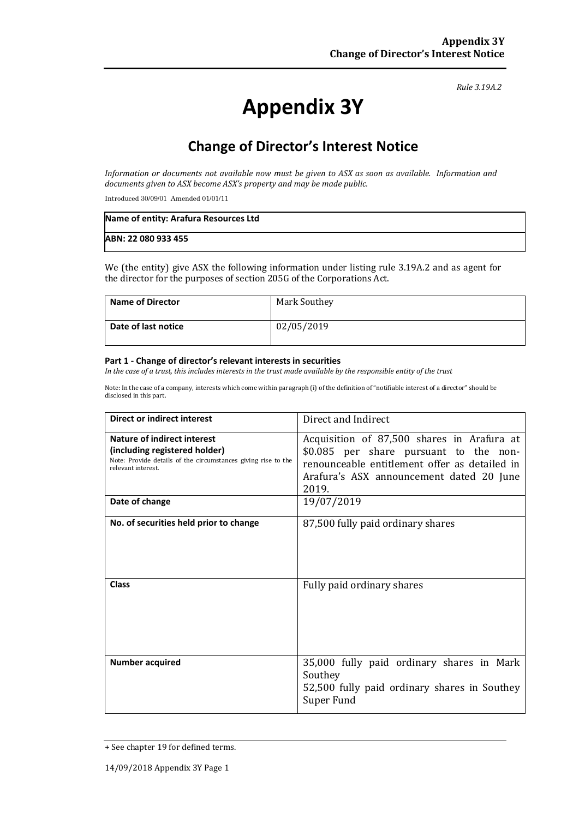#### *Rule 3.19A.2*

# **Appendix 3Y**

## **Change of Director's Interest Notice**

*Information or documents not available now must be given to ASX as soon as available. Information and documents given to ASX become ASX's property and may be made public.*

Introduced 30/09/01 Amended 01/01/11

| Name of entity: Arafura Resources Ltd |  |
|---------------------------------------|--|
| ABN: 22 080 933 455                   |  |

We (the entity) give ASX the following information under listing rule 3.19A.2 and as agent for the director for the purposes of section 205G of the Corporations Act.

| Name of Director    | Mark Southey |
|---------------------|--------------|
| Date of last notice | 02/05/2019   |

#### **Part 1 - Change of director's relevant interests in securities**

*In the case of a trust, this includes interests in the trust made available by the responsible entity of the trust*

Note: In the case of a company, interests which come within paragraph (i) of the definition of "notifiable interest of a director" should be disclosed in this part.

| <b>Direct or indirect interest</b>                                                                                                                  | Direct and Indirect                                                                                                                                                                        |  |
|-----------------------------------------------------------------------------------------------------------------------------------------------------|--------------------------------------------------------------------------------------------------------------------------------------------------------------------------------------------|--|
| Nature of indirect interest<br>(including registered holder)<br>Note: Provide details of the circumstances giving rise to the<br>relevant interest. | Acquisition of 87,500 shares in Arafura at<br>\$0.085 per share pursuant to the non-<br>renounceable entitlement offer as detailed in<br>Arafura's ASX announcement dated 20 June<br>2019. |  |
| Date of change                                                                                                                                      | 19/07/2019                                                                                                                                                                                 |  |
| No. of securities held prior to change                                                                                                              | 87,500 fully paid ordinary shares                                                                                                                                                          |  |
| <b>Class</b>                                                                                                                                        | Fully paid ordinary shares                                                                                                                                                                 |  |
| <b>Number acquired</b>                                                                                                                              | 35,000 fully paid ordinary shares in Mark<br>Southey<br>52,500 fully paid ordinary shares in Southey<br>Super Fund                                                                         |  |

<sup>+</sup> See chapter 19 for defined terms.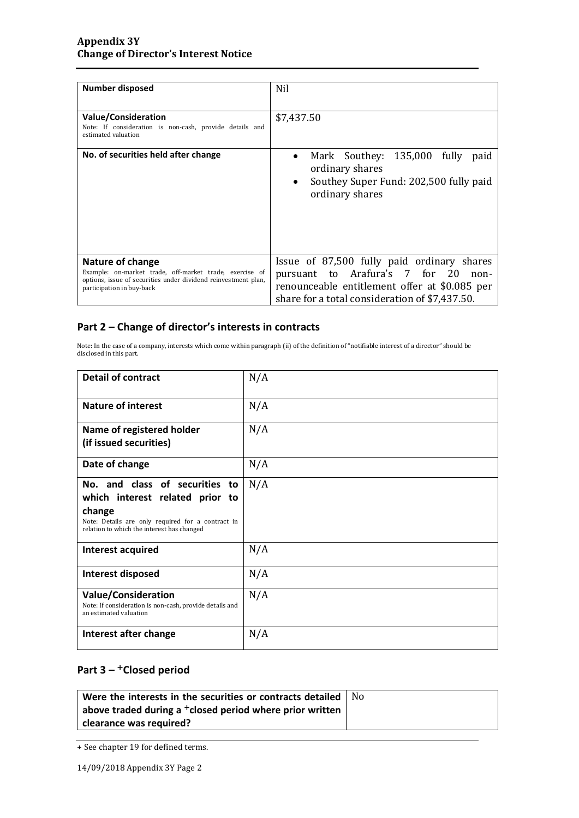| Number disposed                                                                                                                                                            | Nil                                                                                                                                                                                     |
|----------------------------------------------------------------------------------------------------------------------------------------------------------------------------|-----------------------------------------------------------------------------------------------------------------------------------------------------------------------------------------|
| Value/Consideration<br>Note: If consideration is non-cash, provide details and<br>estimated valuation                                                                      | \$7,437.50                                                                                                                                                                              |
| No. of securities held after change                                                                                                                                        | Mark Southey: 135,000<br>fully<br>paid<br>ordinary shares<br>Southey Super Fund: 202,500 fully paid<br>$\bullet$<br>ordinary shares                                                     |
| Nature of change<br>Example: on-market trade, off-market trade, exercise of<br>options, issue of securities under dividend reinvestment plan,<br>participation in buy-back | Issue of 87,500 fully paid ordinary shares<br>pursuant to Arafura's 7 for 20<br>non-<br>renounceable entitlement offer at \$0.085 per<br>share for a total consideration of \$7,437.50. |

#### **Part 2 – Change of director's interests in contracts**

Note: In the case of a company, interests which come within paragraph (ii) of the definition of "notifiable interest of a director" should be disclosed in this part.

| <b>Detail of contract</b>                                                                                                                                                      | N/A |
|--------------------------------------------------------------------------------------------------------------------------------------------------------------------------------|-----|
| <b>Nature of interest</b>                                                                                                                                                      | N/A |
| Name of registered holder<br>(if issued securities)                                                                                                                            | N/A |
| Date of change                                                                                                                                                                 | N/A |
| No. and class of securities to<br>which interest related prior to<br>change<br>Note: Details are only required for a contract in<br>relation to which the interest has changed | N/A |
| Interest acquired                                                                                                                                                              | N/A |
| Interest disposed                                                                                                                                                              | N/A |
| <b>Value/Consideration</b><br>Note: If consideration is non-cash, provide details and<br>an estimated valuation                                                                | N/A |
| Interest after change                                                                                                                                                          | N/A |

### **Part 3 –** +**Closed period**

| Were the interests in the securities or contracts detailed   No |  |
|-----------------------------------------------------------------|--|
| above traded during a $^+$ closed period where prior written    |  |
| clearance was required?                                         |  |

<sup>+</sup> See chapter 19 for defined terms.